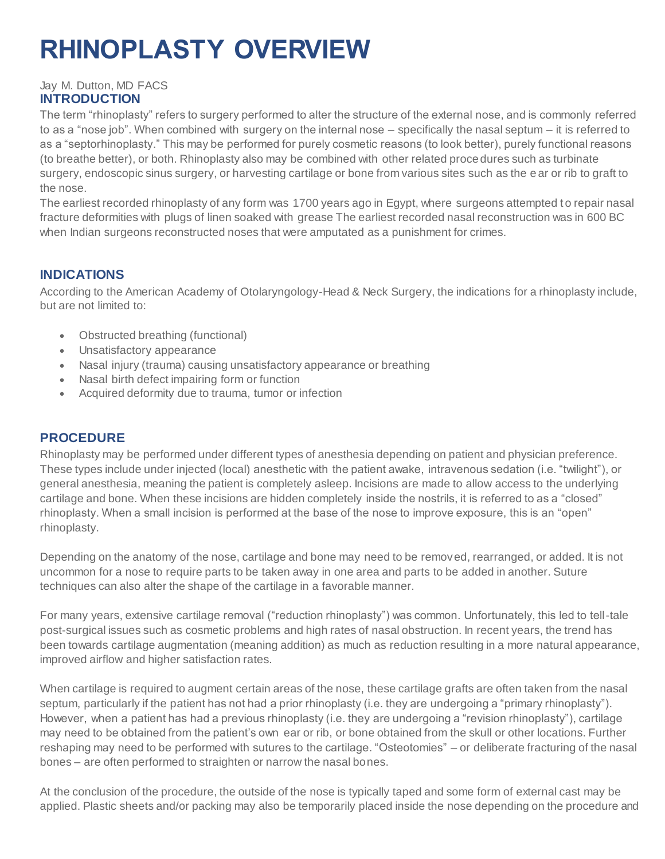# **RHINOPLASTY OVERVIEW**

#### Jay M. Dutton, MD FACS **INTRODUCTION**

The term "rhinoplasty" refers to surgery performed to alter the structure of the external nose, and is commonly referred to as a "nose job". When combined with surgery on the internal nose – specifically the nasal septum – it is referred to as a "septorhinoplasty." This may be performed for purely cosmetic reasons (to look better), purely functional reasons (to breathe better), or both. Rhinoplasty also may be combined with other related proce dures such as turbinate surgery, endoscopic sinus surgery, or harvesting cartilage or bone from various sites such as the e ar or rib to graft to the nose.

The earliest recorded rhinoplasty of any form was 1700 years ago in Egypt, where surgeons attempted t o repair nasal fracture deformities with plugs of linen soaked with grease The earliest recorded nasal reconstruction was in 600 BC when Indian surgeons reconstructed noses that were amputated as a punishment for crimes.

### **INDICATIONS**

According to the American Academy of Otolaryngology-Head & Neck Surgery, the indications for a rhinoplasty include, but are not limited to:

- Obstructed breathing (functional)
- Unsatisfactory appearance
- Nasal injury (trauma) causing unsatisfactory appearance or breathing
- Nasal birth defect impairing form or function
- Acquired deformity due to trauma, tumor or infection

#### **PROCEDURE**

Rhinoplasty may be performed under different types of anesthesia depending on patient and physician preference. These types include under injected (local) anesthetic with the patient awake, intravenous sedation (i.e. "twilight"), or general anesthesia, meaning the patient is completely asleep. Incisions are made to allow access to the underlying cartilage and bone. When these incisions are hidden completely inside the nostrils, it is referred to as a "closed" rhinoplasty. When a small incision is performed at the base of the nose to improve exposure, this is an "open" rhinoplasty.

Depending on the anatomy of the nose, cartilage and bone may need to be removed, rearranged, or added. It is not uncommon for a nose to require parts to be taken away in one area and parts to be added in another. Suture techniques can also alter the shape of the cartilage in a favorable manner.

For many years, extensive cartilage removal ("reduction rhinoplasty") was common. Unfortunately, this led to tell-tale post-surgical issues such as cosmetic problems and high rates of nasal obstruction. In recent years, the trend has been towards cartilage augmentation (meaning addition) as much as reduction resulting in a more natural appearance, improved airflow and higher satisfaction rates.

When cartilage is required to augment certain areas of the nose, these cartilage grafts are often taken from the nasal septum, particularly if the patient has not had a prior rhinoplasty (i.e. they are undergoing a "primary rhinoplasty"). However, when a patient has had a previous rhinoplasty (i.e. they are undergoing a "revision rhinoplasty"), cartilage may need to be obtained from the patient's own ear or rib, or bone obtained from the skull or other locations. Further reshaping may need to be performed with sutures to the cartilage. "Osteotomies" – or deliberate fracturing of the nasal bones – are often performed to straighten or narrow the nasal bones.

At the conclusion of the procedure, the outside of the nose is typically taped and some form of external cast may be applied. Plastic sheets and/or packing may also be temporarily placed inside the nose depending on the procedure and